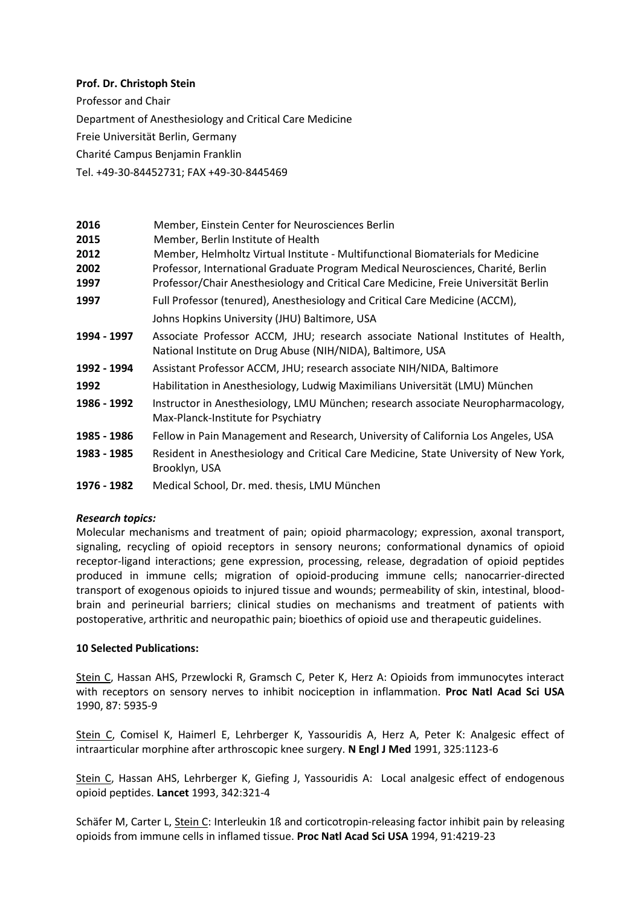## **Prof. Dr. Christoph Stein**

Professor and Chair

Department of Anesthesiology and Critical Care Medicine

Freie Universität Berlin, Germany

Charité Campus Benjamin Franklin

Tel. +49-30-84452731; FAX +49-30-8445469

| 2016        | Member, Einstein Center for Neurosciences Berlin                                                                                                |
|-------------|-------------------------------------------------------------------------------------------------------------------------------------------------|
| 2015        | Member, Berlin Institute of Health                                                                                                              |
| 2012        | Member, Helmholtz Virtual Institute - Multifunctional Biomaterials for Medicine                                                                 |
| 2002        | Professor, International Graduate Program Medical Neurosciences, Charité, Berlin                                                                |
| 1997        | Professor/Chair Anesthesiology and Critical Care Medicine, Freie Universität Berlin                                                             |
| 1997        | Full Professor (tenured), Anesthesiology and Critical Care Medicine (ACCM),                                                                     |
|             | Johns Hopkins University (JHU) Baltimore, USA                                                                                                   |
| 1994 - 1997 | Associate Professor ACCM, JHU; research associate National Institutes of Health,<br>National Institute on Drug Abuse (NIH/NIDA), Baltimore, USA |
|             |                                                                                                                                                 |
| 1992 - 1994 | Assistant Professor ACCM, JHU; research associate NIH/NIDA, Baltimore                                                                           |
| 1992        | Habilitation in Anesthesiology, Ludwig Maximilians Universität (LMU) München                                                                    |
| 1986 - 1992 | Instructor in Anesthesiology, LMU München; research associate Neuropharmacology,<br>Max-Planck-Institute for Psychiatry                         |
| 1985 - 1986 | Fellow in Pain Management and Research, University of California Los Angeles, USA                                                               |
| 1983 - 1985 | Resident in Anesthesiology and Critical Care Medicine, State University of New York,<br>Brooklyn, USA                                           |
| 1976 - 1982 | Medical School, Dr. med. thesis, LMU München                                                                                                    |

## *Research topics:*

Molecular mechanisms and treatment of pain; opioid pharmacology; expression, axonal transport, signaling, recycling of opioid receptors in sensory neurons; conformational dynamics of opioid receptor-ligand interactions; gene expression, processing, release, degradation of opioid peptides produced in immune cells; migration of opioid-producing immune cells; nanocarrier-directed transport of exogenous opioids to injured tissue and wounds; permeability of skin, intestinal, bloodbrain and perineurial barriers; clinical studies on mechanisms and treatment of patients with postoperative, arthritic and neuropathic pain; bioethics of opioid use and therapeutic guidelines.

## **10 Selected Publications:**

Stein C, Hassan AHS, Przewlocki R, Gramsch C, Peter K, Herz A: Opioids from immunocytes interact with receptors on sensory nerves to inhibit nociception in inflammation. **Proc Natl Acad Sci USA** 1990, 87: 5935-9

Stein C, Comisel K, Haimerl E, Lehrberger K, Yassouridis A, Herz A, Peter K: Analgesic effect of intraarticular morphine after arthroscopic knee surgery. **N Engl J Med** 1991, 325:1123-6

Stein C, Hassan AHS, Lehrberger K, Giefing J, Yassouridis A: Local analgesic effect of endogenous opioid peptides. **Lancet** 1993, 342:321-4

Schäfer M, Carter L, Stein C: Interleukin 1ß and corticotropin-releasing factor inhibit pain by releasing opioids from immune cells in inflamed tissue. **Proc Natl Acad Sci USA** 1994, 91:4219-23